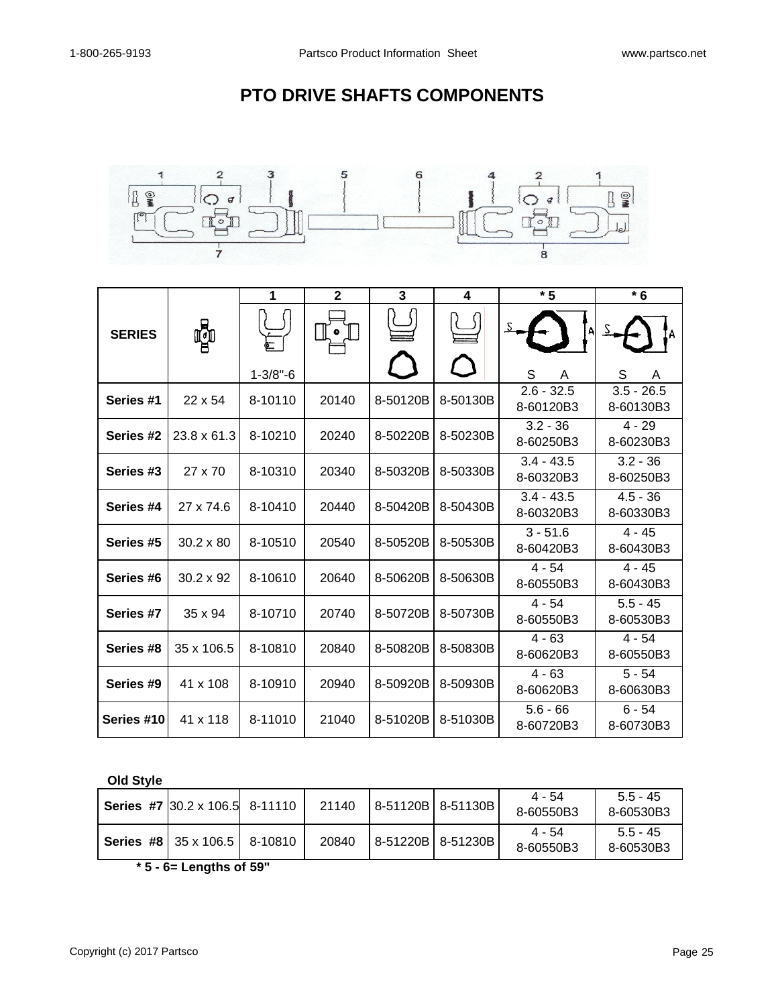## **PTO DRIVE SHAFTS COMPONENTS**



|               | Ç                | 1              | $\mathbf{2}$ | 3        | 4             | $*5$                      | $*6$                      |  |
|---------------|------------------|----------------|--------------|----------|---------------|---------------------------|---------------------------|--|
| <b>SERIES</b> |                  | (<br>सं        |              |          |               |                           |                           |  |
|               |                  | $1 - 3/8" - 6$ |              |          | $\mathcal{L}$ | S<br>A                    | S<br>A                    |  |
| Series #1     | $22 \times 54$   | 8-10110        | 20140        | 8-50120B | 8-50130B      | $2.6 - 32.5$<br>8-60120B3 | $3.5 - 26.5$<br>8-60130B3 |  |
| Series #2     | 23.8 x 61.3      | 8-10210        | 20240        | 8-50220B | 8-50230B      | $3.2 - 36$<br>8-60250B3   | $4 - 29$<br>8-60230B3     |  |
| Series #3     | 27 x 70          | 8-10310        | 20340        | 8-50320B | 8-50330B      | $3.4 - 43.5$<br>8-60320B3 | $3.2 - 36$<br>8-60250B3   |  |
| Series #4     | 27 x 74.6        | 8-10410        | 20440        | 8-50420B | 8-50430B      | $3.4 - 43.5$<br>8-60320B3 | $4.5 - 36$<br>8-60330B3   |  |
| Series #5     | $30.2 \times 80$ | 8-10510        | 20540        | 8-50520B | 8-50530B      | $3 - 51.6$<br>8-60420B3   | $4 - 45$<br>8-60430B3     |  |
| Series #6     | $30.2 \times 92$ | 8-10610        | 20640        | 8-50620B | 8-50630B      | $4 - 54$<br>8-60550B3     | $4 - 45$<br>8-60430B3     |  |
| Series #7     | $35 \times 94$   | 8-10710        | 20740        | 8-50720B | 8-50730B      | $4 - 54$<br>8-60550B3     | $5.5 - 45$<br>8-60530B3   |  |
| Series #8     | 35 x 106.5       | 8-10810        | 20840        | 8-50820B | 8-50830B      | $4 - 63$<br>8-60620B3     | $4 - 54$<br>8-60550B3     |  |
| Series #9     | 41 x 108         | 8-10910        | 20940        | 8-50920B | 8-50930B      | $4 - 63$<br>8-60620B3     | $5 - 54$<br>8-60630B3     |  |
| Series #10    | 41 x 118         | 8-11010        | 21040        | 8-51020B | 8-51030B      | $5.6 - 66$<br>8-60720B3   | $6 - 54$<br>8-60730B3     |  |

**Old Style**

| Series #7 $ 30.2 \times 106.5 $ 8-11110     | 21140 | 8-51120B 8-51130B | 4 - 54<br>8-60550B3 | $5.5 - 45$<br>8-60530B3 |
|---------------------------------------------|-------|-------------------|---------------------|-------------------------|
| <b>Series #8</b> 35 x 106.5 $\vert$ 8-10810 | 20840 | 8-51220B 8-51230B | 4 - 54<br>8-60550B3 | $5.5 - 45$<br>8-60530B3 |

**\* 5 - 6= Lengths of 59"**